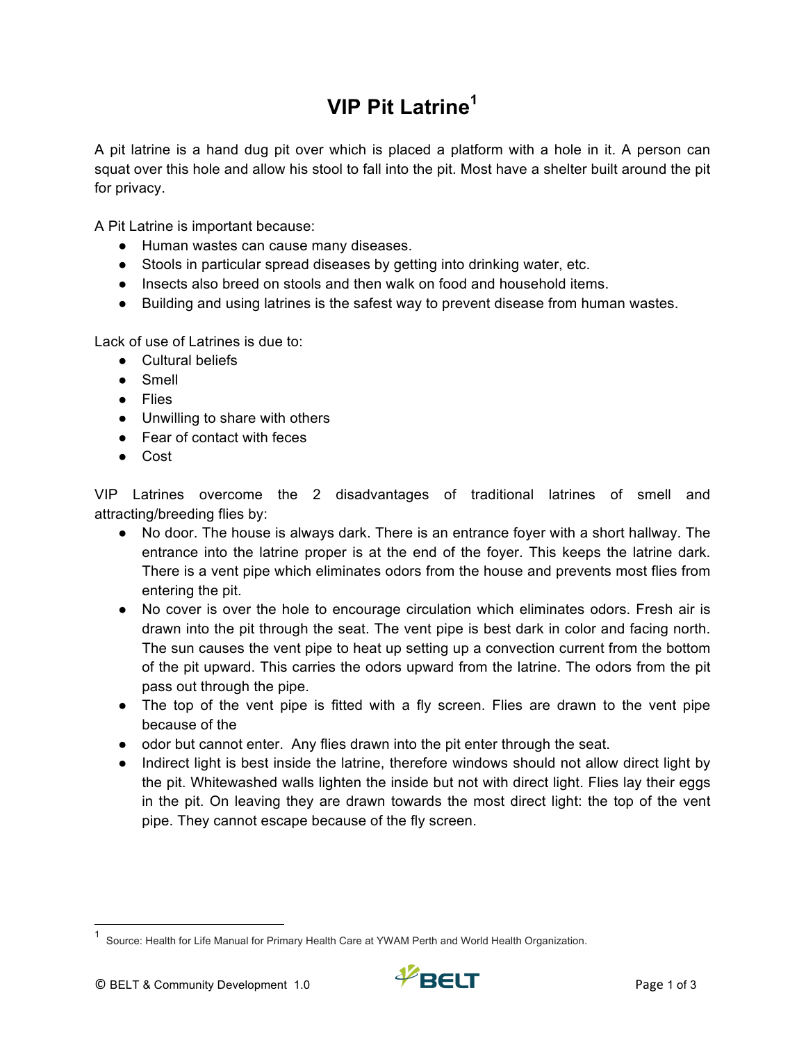## **VIP Pit Latrine<sup>1</sup>**

A pit latrine is a hand dug pit over which is placed a platform with a hole in it. A person can squat over this hole and allow his stool to fall into the pit. Most have a shelter built around the pit for privacy.

A Pit Latrine is important because:

- Human wastes can cause many diseases.
- Stools in particular spread diseases by getting into drinking water, etc.
- Insects also breed on stools and then walk on food and household items.
- Building and using latrines is the safest way to prevent disease from human wastes.

Lack of use of Latrines is due to:

- Cultural beliefs
- Smell
- Flies
- Unwilling to share with others
- Fear of contact with feces
- Cost

VIP Latrines overcome the 2 disadvantages of traditional latrines of smell and attracting/breeding flies by:

- No door. The house is always dark. There is an entrance foyer with a short hallway. The entrance into the latrine proper is at the end of the foyer. This keeps the latrine dark. There is a vent pipe which eliminates odors from the house and prevents most flies from entering the pit.
- No cover is over the hole to encourage circulation which eliminates odors. Fresh air is drawn into the pit through the seat. The vent pipe is best dark in color and facing north. The sun causes the vent pipe to heat up setting up a convection current from the bottom of the pit upward. This carries the odors upward from the latrine. The odors from the pit pass out through the pipe.
- The top of the vent pipe is fitted with a fly screen. Flies are drawn to the vent pipe because of the
- odor but cannot enter. Any flies drawn into the pit enter through the seat.
- Indirect light is best inside the latrine, therefore windows should not allow direct light by the pit. Whitewashed walls lighten the inside but not with direct light. Flies lay their eggs in the pit. On leaving they are drawn towards the most direct light: the top of the vent pipe. They cannot escape because of the fly screen.

<sup>&</sup>lt;sup>1</sup> Source: Health for Life Manual for Primary Health Care at YWAM Perth and World Health Organization.

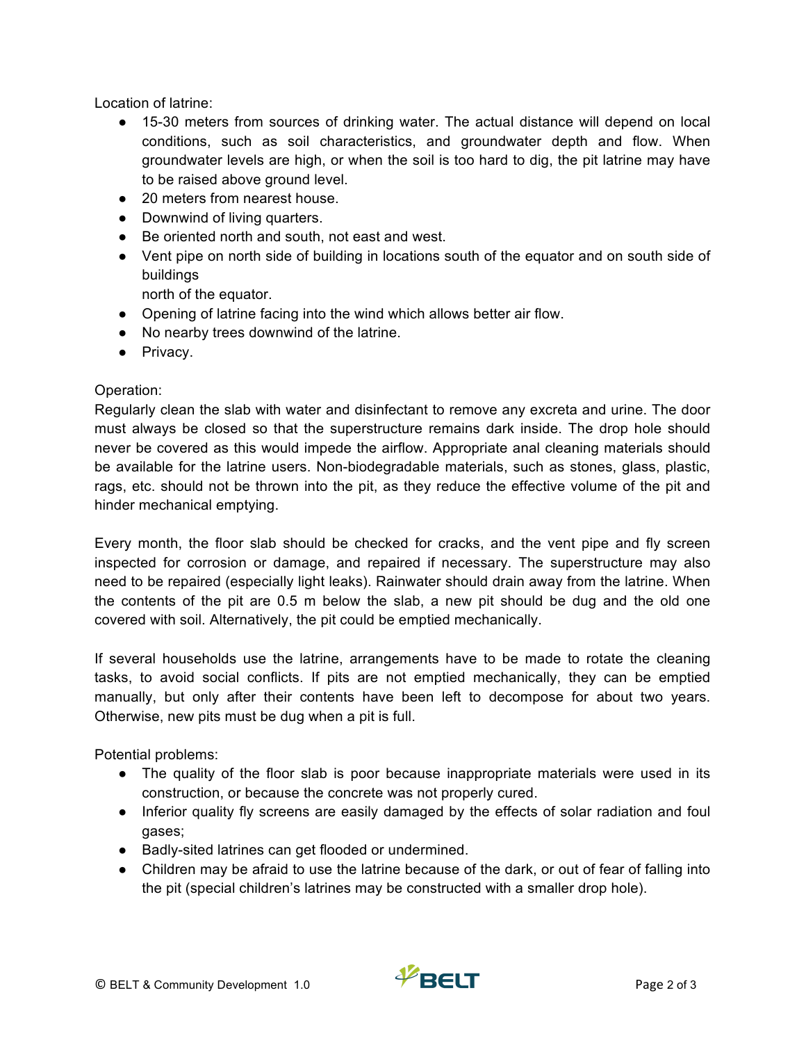Location of latrine:

- 15-30 meters from sources of drinking water. The actual distance will depend on local conditions, such as soil characteristics, and groundwater depth and flow. When groundwater levels are high, or when the soil is too hard to dig, the pit latrine may have to be raised above ground level.
- 20 meters from nearest house.
- Downwind of living quarters.
- Be oriented north and south, not east and west.
- Vent pipe on north side of building in locations south of the equator and on south side of buildings

north of the equator.

- Opening of latrine facing into the wind which allows better air flow.
- No nearby trees downwind of the latrine.
- Privacy.

## Operation:

Regularly clean the slab with water and disinfectant to remove any excreta and urine. The door must always be closed so that the superstructure remains dark inside. The drop hole should never be covered as this would impede the airflow. Appropriate anal cleaning materials should be available for the latrine users. Non-biodegradable materials, such as stones, glass, plastic, rags, etc. should not be thrown into the pit, as they reduce the effective volume of the pit and hinder mechanical emptying.

Every month, the floor slab should be checked for cracks, and the vent pipe and fly screen inspected for corrosion or damage, and repaired if necessary. The superstructure may also need to be repaired (especially light leaks). Rainwater should drain away from the latrine. When the contents of the pit are 0.5 m below the slab, a new pit should be dug and the old one covered with soil. Alternatively, the pit could be emptied mechanically.

If several households use the latrine, arrangements have to be made to rotate the cleaning tasks, to avoid social conflicts. If pits are not emptied mechanically, they can be emptied manually, but only after their contents have been left to decompose for about two years. Otherwise, new pits must be dug when a pit is full.

Potential problems:

- The quality of the floor slab is poor because inappropriate materials were used in its construction, or because the concrete was not properly cured.
- Inferior quality fly screens are easily damaged by the effects of solar radiation and foul gases;
- Badly-sited latrines can get flooded or undermined.
- Children may be afraid to use the latrine because of the dark, or out of fear of falling into the pit (special children's latrines may be constructed with a smaller drop hole).